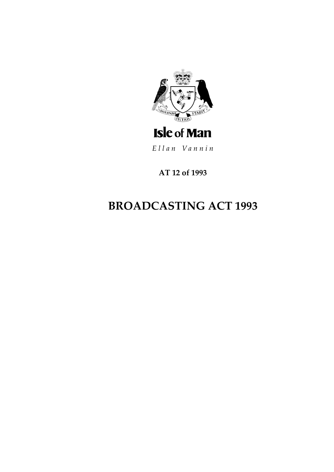

Ellan Vannin

**AT 12 of 1993**

# **BROADCASTING ACT 1993**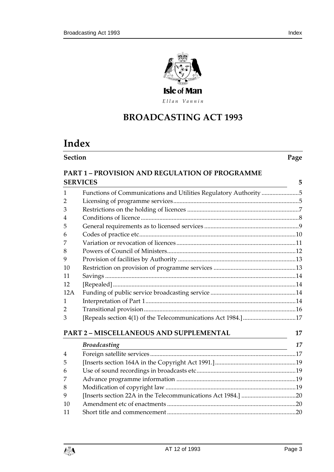

Ellan Vannin

# **BROADCASTING ACT 199 3**

# **Index**

| <b>Section</b> | Page |
|----------------|------|

# **PART 1 – [PROVISION AND REGULATION OF PROGRAMME](#page-4-0)  [SERVICES](#page-4-0) 5**

| 1   | Functions of Communications and Utilities Regulatory Authority 5 |    |
|-----|------------------------------------------------------------------|----|
| 2   |                                                                  |    |
| 3   |                                                                  |    |
| 4   |                                                                  |    |
| 5   |                                                                  |    |
| 6   |                                                                  |    |
| 7   |                                                                  |    |
| 8   |                                                                  |    |
| 9   |                                                                  |    |
| 10  |                                                                  |    |
| 11  |                                                                  |    |
| 12  |                                                                  |    |
| 12A |                                                                  |    |
| 1   |                                                                  |    |
| 2   |                                                                  |    |
| 3   | [Repeals section 4(1) of the Telecommunications Act 1984.] 17    |    |
|     |                                                                  |    |
|     | PART 2 - MISCELLANEOUS AND SUPPLEMENTAL                          | 17 |
|     | <b>Broadcasting</b>                                              | 17 |
| 4   |                                                                  |    |
| 5   |                                                                  |    |
| 6   |                                                                  |    |
| 7   |                                                                  |    |
| 8   |                                                                  |    |
| 9   |                                                                  |    |

 Amendment etc of enactments [...................................................................................20](#page-19-1) [Short title and commencement...................................................................................20](#page-19-2)

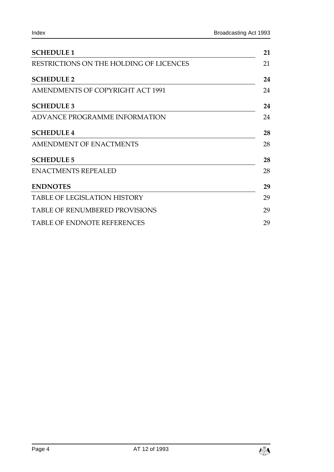| <b>SCHEDULE 1</b>                       |    |
|-----------------------------------------|----|
| RESTRICTIONS ON THE HOLDING OF LICENCES | 21 |
| <b>SCHEDULE 2</b>                       | 24 |
| <b>AMENDMENTS OF COPYRIGHT ACT 1991</b> | 24 |
| <b>SCHEDULE 3</b>                       | 24 |
| ADVANCE PROGRAMME INFORMATION           | 24 |
| <b>SCHEDULE 4</b>                       | 28 |
| <b>AMENDMENT OF ENACTMENTS</b>          | 28 |
| <b>SCHEDULE 5</b>                       | 28 |
| <b>ENACTMENTS REPEALED</b>              | 28 |
| <b>ENDNOTES</b>                         | 29 |
| <b>TABLE OF LEGISLATION HISTORY</b>     | 29 |
| <b>TABLE OF RENUMBERED PROVISIONS</b>   | 29 |
| TABLE OF ENDNOTE REFERENCES             | 29 |

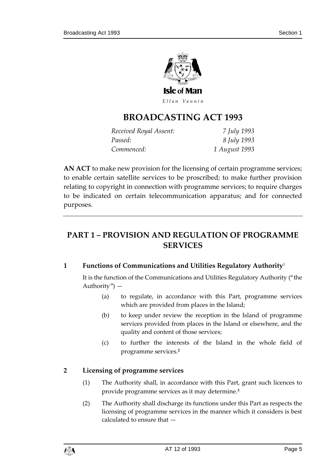

Ellan Vannin

# **BROADCASTING ACT 199 3**

| Received Royal Assent: | 7 July 1993   |
|------------------------|---------------|
| Passed:                | 8 July 1993   |
| Commenced:             | 1 August 1993 |

**AN ACT** to make new provision for the licensing of certain programme services; to enable certain satellite services to be proscribed; to make further provision relating to copyright in connection with programme services; to require charges to be indicated on certain telecommunication apparatus; and for connected purposes.

# <span id="page-4-0"></span>**PART 1 – PROVISION AND REGULATION OF PROGRAMME SERVICES**

#### <span id="page-4-1"></span>**1 Functions of Communications and Utilities Regulatory Authority**<sup>1</sup>

It is the function of the Communications and Utilities Regulatory Authority ("the Authority") —

- (a) to regulate, in accordance with this Part, programme services which are provided from places in the Island;
- (b) to keep under review the reception in the Island of programme services provided from places in the Island or elsewhere, and the quality and content of those services;
- (c) to further the interests of the Island in the whole field of programme services.**<sup>2</sup>**

# <span id="page-4-2"></span>**2 Licensing of programme services**

- (1) The Authority shall, in accordance with this Part, grant such licences to provide programme services as it may determine.**<sup>3</sup>**
- (2) The Authority shall discharge its functions under this Part as respects the licensing of programme services in the manner which it considers is best calculated to ensure that —

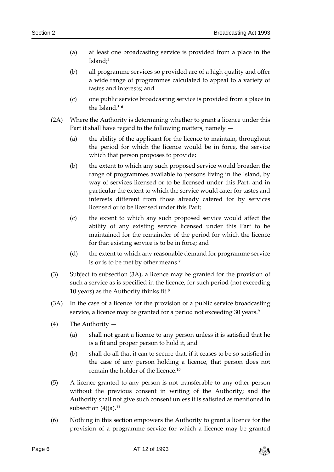- (a) at least one broadcasting service is provided from a place in the Island;**<sup>4</sup>**
- (b) all programme services so provided are of a high quality and offer a wide range of programmes calculated to appeal to a variety of tastes and interests; and
- (c) one public service broadcasting service is provided from a place in the Island.**<sup>5</sup> <sup>6</sup>**
- (2A) Where the Authority is determining whether to grant a licence under this Part it shall have regard to the following matters, namely —
	- (a) the ability of the applicant for the licence to maintain, throughout the period for which the licence would be in force, the service which that person proposes to provide;
	- (b) the extent to which any such proposed service would broaden the range of programmes available to persons living in the Island, by way of services licensed or to be licensed under this Part, and in particular the extent to which the service would cater for tastes and interests different from those already catered for by services licensed or to be licensed under this Part;
	- (c) the extent to which any such proposed service would affect the ability of any existing service licensed under this Part to be maintained for the remainder of the period for which the licence for that existing service is to be in force; and
	- (d) the extent to which any reasonable demand for programme service is or is to be met by other means.**<sup>7</sup>**
- (3) Subject to subsection (3A), a licence may be granted for the provision of such a service as is specified in the licence, for such period (not exceeding 10 years) as the Authority thinks fit.**<sup>8</sup>**
- (3A) In the case of a licence for the provision of a public service broadcasting service, a licence may be granted for a period not exceeding 30 years.**<sup>9</sup>**
- (4) The Authority
	- (a) shall not grant a licence to any person unless it is satisfied that he is a fit and proper person to hold it, and
	- (b) shall do all that it can to secure that, if it ceases to be so satisfied in the case of any person holding a licence, that person does not remain the holder of the licence.**<sup>10</sup>**
- (5) A licence granted to any person is not transferable to any other person without the previous consent in writing of the Authority; and the Authority shall not give such consent unless it is satisfied as mentioned in subsection (4)(a).**<sup>11</sup>**
- (6) Nothing in this section empowers the Authority to grant a licence for the provision of a programme service for which a licence may be granted

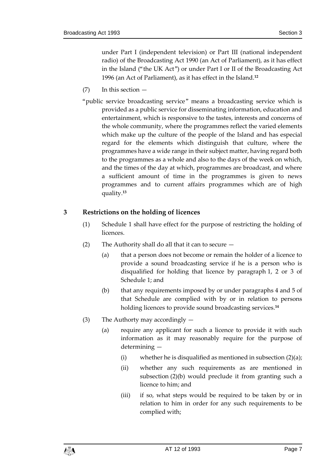under Part I (independent television) or Part III (national independent radio) of the Broadcasting Act 1990 (an Act of Parliament), as it has effect in the Island ("the UK Act") or under Part I or II of the Broadcasting Act 1996 (an Act of Parliament), as it has effect in the Island.**<sup>12</sup>**

- (7) In this section —
- "public service broadcasting service" means a broadcasting service which is provided as a public service for disseminating information, education and entertainment, which is responsive to the tastes, interests and concerns of the whole community, where the programmes reflect the varied elements which make up the culture of the people of the Island and has especial regard for the elements which distinguish that culture, where the programmes have a wide range in their subject matter, having regard both to the programmes as a whole and also to the days of the week on which, and the times of the day at which, programmes are broadcast, and where a sufficient amount of time in the programmes is given to news programmes and to current affairs programmes which are of high quality.**<sup>13</sup>**

#### <span id="page-6-0"></span>**3 Restrictions on the holding of licences**

- (1) Schedule 1 shall have effect for the purpose of restricting the holding of licences.
- (2) The Authority shall do all that it can to secure
	- (a) that a person does not become or remain the holder of a licence to provide a sound broadcasting service if he is a person who is disqualified for holding that licence by paragraph 1, 2 or 3 of Schedule 1; and
	- (b) that any requirements imposed by or under paragraphs 4 and 5 of that Schedule are complied with by or in relation to persons holding licences to provide sound broadcasting services.**<sup>14</sup>**
- (3) The Authorty may accordingly
	- (a) require any applicant for such a licence to provide it with such information as it may reasonably require for the purpose of determining —
		- (i) whether he is disqualified as mentioned in subsection  $(2)(a)$ ;
		- (ii) whether any such requirements as are mentioned in subsection (2)(b) would preclude it from granting such a licence to him; and
		- (iii) if so, what steps would be required to be taken by or in relation to him in order for any such requirements to be complied with;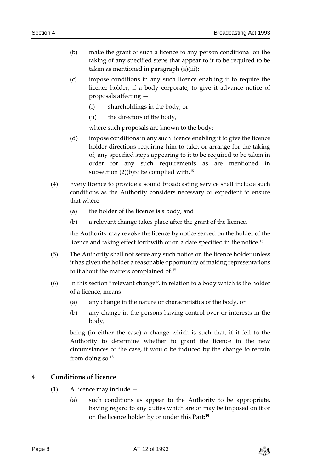- (b) make the grant of such a licence to any person conditional on the taking of any specified steps that appear to it to be required to be taken as mentioned in paragraph (a)(iii);
- (c) impose conditions in any such licence enabling it to require the licence holder, if a body corporate, to give it advance notice of proposals affecting —
	- (i) shareholdings in the body, or
	- (ii) the directors of the body,

where such proposals are known to the body;

- (d) impose conditions in any such licence enabling it to give the licence holder directions requiring him to take, or arrange for the taking of, any specified steps appearing to it to be required to be taken in order for any such requirements as are mentioned in subsection (2)(b)to be complied with.**<sup>15</sup>**
- (4) Every licence to provide a sound broadcasting service shall include such conditions as the Authority considers necessary or expedient to ensure that where —
	- (a) the holder of the licence is a body, and
	- (b) a relevant change takes place after the grant of the licence,

the Authority may revoke the licence by notice served on the holder of the licence and taking effect forthwith or on a date specified in the notice.**<sup>16</sup>**

- (5) The Authority shall not serve any such notice on the licence holder unless it has given the holder a reasonable opportunity of making representations to it about the matters complained of.**<sup>17</sup>**
- (6) In this section "relevant change", in relation to a body which is the holder of a licence, means —
	- (a) any change in the nature or characteristics of the body, or
	- (b) any change in the persons having control over or interests in the body,

being (in either the case) a change which is such that, if it fell to the Authority to determine whether to grant the licence in the new circumstances of the case, it would be induced by the change to refrain from doing so.**<sup>18</sup>**

#### <span id="page-7-0"></span>**4 Conditions of licence**

- (1) A licence may include
	- (a) such conditions as appear to the Authority to be appropriate, having regard to any duties which are or may be imposed on it or on the licence holder by or under this Part;**19**

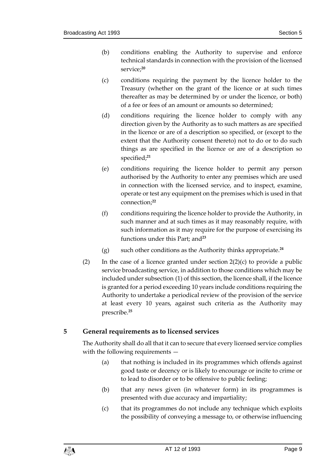- (b) conditions enabling the Authority to supervise and enforce technical standards in connection with the provision of the licensed service;**<sup>20</sup>**
- (c) conditions requiring the payment by the licence holder to the Treasury (whether on the grant of the licence or at such times thereafter as may be determined by or under the licence, or both) of a fee or fees of an amount or amounts so determined;
- (d) conditions requiring the licence holder to comply with any direction given by the Authority as to such matters as are specified in the licence or are of a description so specified, or (except to the extent that the Authority consent thereto) not to do or to do such things as are specified in the licence or are of a description so specified;**<sup>21</sup>**
- (e) conditions requiring the licence holder to permit any person authorised by the Authority to enter any premises which are used in connection with the licensed service, and to inspect, examine, operate or test any equipment on the premises which is used in that connection;**<sup>22</sup>**
- (f) conditions requiring the licence holder to provide the Authority, in such manner and at such times as it may reasonably require, with such information as it may require for the purpose of exercising its functions under this Part; and**<sup>23</sup>**
- (g) such other conditions as the Authority thinks appropriate.**<sup>24</sup>**
- (2) In the case of a licence granted under section  $2(2)(c)$  to provide a public service broadcasting service, in addition to those conditions which may be included under subsection (1) of this section, the licence shall, if the licence is granted for a period exceeding 10 years include conditions requiring the Authority to undertake a periodical review of the provision of the service at least every 10 years, against such criteria as the Authority may prescribe.**<sup>25</sup>**

# <span id="page-8-0"></span>**5 General requirements as to licensed services**

The Authority shall do all that it can to secure that every licensed service complies with the following requirements —

- (a) that nothing is included in its programmes which offends against good taste or decency or is likely to encourage or incite to crime or to lead to disorder or to be offensive to public feeling;
- (b) that any news given (in whatever form) in its programmes is presented with due accuracy and impartiality;
- (c) that its programmes do not include any technique which exploits the possibility of conveying a message to, or otherwise influencing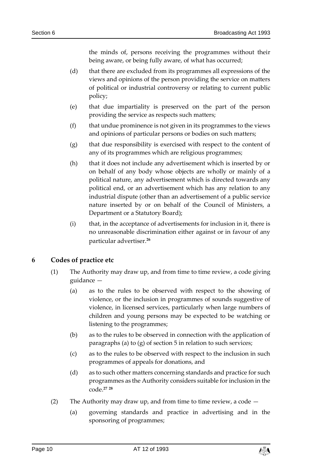the minds of, persons receiving the programmes without their being aware, or being fully aware, of what has occurred;

- (d) that there are excluded from its programmes all expressions of the views and opinions of the person providing the service on matters of political or industrial controversy or relating to current public policy;
- (e) that due impartiality is preserved on the part of the person providing the service as respects such matters;
- (f) that undue prominence is not given in its programmes to the views and opinions of particular persons or bodies on such matters;
- (g) that due responsibility is exercised with respect to the content of any of its programmes which are religious programmes;
- (h) that it does not include any advertisement which is inserted by or on behalf of any body whose objects are wholly or mainly of a political nature, any advertisement which is directed towards any political end, or an advertisement which has any relation to any industrial dispute (other than an advertisement of a public service nature inserted by or on behalf of the Council of Ministers, a Department or a Statutory Board);
- (i) that, in the acceptance of advertisements for inclusion in it, there is no unreasonable discrimination either against or in favour of any particular advertiser.**<sup>26</sup>**

# <span id="page-9-0"></span>**6 Codes of practice etc**

- (1) The Authority may draw up, and from time to time review, a code giving guidance —
	- (a) as to the rules to be observed with respect to the showing of violence, or the inclusion in programmes of sounds suggestive of violence, in licensed services, particularly when large numbers of children and young persons may be expected to be watching or listening to the programmes;
	- (b) as to the rules to be observed in connection with the application of paragraphs (a) to (g) of section 5 in relation to such services;
	- (c) as to the rules to be observed with respect to the inclusion in such programmes of appeals for donations, and
	- (d) as to such other matters concerning standards and practice for such programmes as the Authority considers suitable for inclusion in the code.**<sup>27</sup> <sup>28</sup>**
- (2) The Authority may draw up, and from time to time review, a code  $-$ 
	- (a) governing standards and practice in advertising and in the sponsoring of programmes;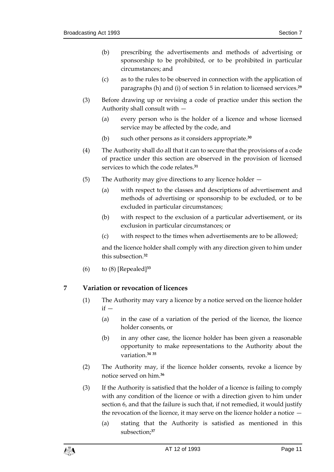- (b) prescribing the advertisements and methods of advertising or sponsorship to be prohibited, or to be prohibited in particular circumstances; and
- (c) as to the rules to be observed in connection with the application of paragraphs (h) and (i) of section 5 in relation to licensed services.**<sup>29</sup>**
- (3) Before drawing up or revising a code of practice under this section the Authority shall consult with —
	- (a) every person who is the holder of a licence and whose licensed service may be affected by the code, and
	- (b) such other persons as it considers appropriate.**<sup>30</sup>**
- (4) The Authority shall do all that it can to secure that the provisions of a code of practice under this section are observed in the provision of licensed services to which the code relates.**<sup>31</sup>**
- (5) The Authority may give directions to any licence holder
	- (a) with respect to the classes and descriptions of advertisement and methods of advertising or sponsorship to be excluded, or to be excluded in particular circumstances;
	- (b) with respect to the exclusion of a particular advertisement, or its exclusion in particular circumstances; or
	- (c) with respect to the times when advertisements are to be allowed;

and the licence holder shall comply with any direction given to him under this subsection.**<sup>32</sup>**

(6) to (8) [Repealed]**<sup>33</sup>**

# <span id="page-10-0"></span>**7 Variation or revocation of licences**

- (1) The Authority may vary a licence by a notice served on the licence holder  $if -$ 
	- (a) in the case of a variation of the period of the licence, the licence holder consents, or
	- (b) in any other case, the licence holder has been given a reasonable opportunity to make representations to the Authority about the variation.**<sup>34</sup> <sup>35</sup>**
- (2) The Authority may, if the licence holder consents, revoke a licence by notice served on him.**<sup>36</sup>**
- (3) If the Authority is satisfied that the holder of a licence is failing to comply with any condition of the licence or with a direction given to him under section 6, and that the failure is such that, if not remedied, it would justify the revocation of the licence, it may serve on the licence holder a notice —
	- (a) stating that the Authority is satisfied as mentioned in this subsection;**37**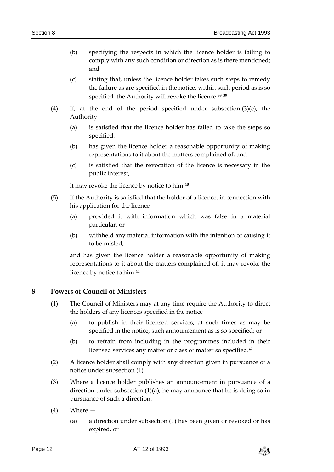- (b) specifying the respects in which the licence holder is failing to comply with any such condition or direction as is there mentioned; and
- (c) stating that, unless the licence holder takes such steps to remedy the failure as are specified in the notice, within such period as is so specified, the Authority will revoke the licence.**<sup>38</sup> <sup>39</sup>**
- (4) If, at the end of the period specified under subsection (3)(c), the Authority —
	- (a) is satisfied that the licence holder has failed to take the steps so specified,
	- (b) has given the licence holder a reasonable opportunity of making representations to it about the matters complained of, and
	- (c) is satisfied that the revocation of the licence is necessary in the public interest,

it may revoke the licence by notice to him.**<sup>40</sup>**

- (5) If the Authority is satisfied that the holder of a licence, in connection with his application for the licence —
	- (a) provided it with information which was false in a material particular, or
	- (b) withheld any material information with the intention of causing it to be misled,

and has given the licence holder a reasonable opportunity of making representations to it about the matters complained of, it may revoke the licence by notice to him.**<sup>41</sup>**

#### <span id="page-11-0"></span>**8 Powers of Council of Ministers**

- (1) The Council of Ministers may at any time require the Authority to direct the holders of any licences specified in the notice —
	- (a) to publish in their licensed services, at such times as may be specified in the notice, such announcement as is so specified; or
	- (b) to refrain from including in the programmes included in their licensed services any matter or class of matter so specified.**<sup>42</sup>**
- (2) A licence holder shall comply with any direction given in pursuance of a notice under subsection (1).
- (3) Where a licence holder publishes an announcement in pursuance of a direction under subsection (1)(a), he may announce that he is doing so in pursuance of such a direction.
- (4) Where
	- (a) a direction under subsection (1) has been given or revoked or has expired, or

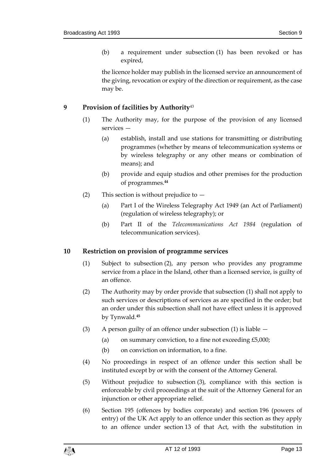(b) a requirement under subsection (1) has been revoked or has expired,

the licence holder may publish in the licensed service an announcement of the giving, revocation or expiry of the direction or requirement, as the case may be.

### <span id="page-12-0"></span>**9 Provision of facilities by Authority**<sup>43</sup>

- (1) The Authority may, for the purpose of the provision of any licensed services —
	- (a) establish, install and use stations for transmitting or distributing programmes (whether by means of telecommunication systems or by wireless telegraphy or any other means or combination of means); and
	- (b) provide and equip studios and other premises for the production of programmes.**<sup>44</sup>**
- (2) This section is without prejudice to
	- (a) Part I of the Wireless Telegraphy Act 1949 (an Act of Parliament) (regulation of wireless telegraphy); or
	- (b) Part II of the *Telecommunications Act 1984* (regulation of telecommunication services).

#### <span id="page-12-1"></span>**10 Restriction on provision of programme services**

- (1) Subject to subsection (2), any person who provides any programme service from a place in the Island, other than a licensed service, is guilty of an offence.
- (2) The Authority may by order provide that subsection (1) shall not apply to such services or descriptions of services as are specified in the order; but an order under this subsection shall not have effect unless it is approved by Tynwald.**<sup>45</sup>**
- (3) A person guilty of an offence under subsection (1) is liable
	- (a) on summary conviction, to a fine not exceeding  $£5,000;$
	- (b) on conviction on information, to a fine.
- (4) No proceedings in respect of an offence under this section shall be instituted except by or with the consent of the Attorney General.
- (5) Without prejudice to subsection (3), compliance with this section is enforceable by civil proceedings at the suit of the Attorney General for an injunction or other appropriate relief.
- (6) Section 195 (offences by bodies corporate) and section 196 (powers of entry) of the UK Act apply to an offence under this section as they apply to an offence under section 13 of that Act, with the substitution in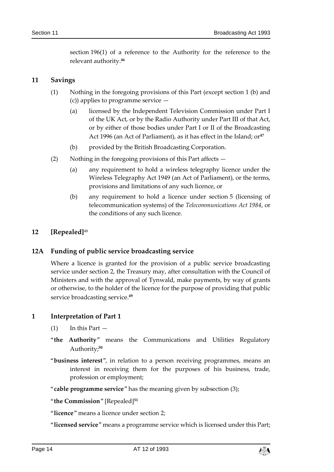section 196(1) of a reference to the Authority for the reference to the relevant authority.**<sup>46</sup>**

#### <span id="page-13-0"></span>**11 Savings**

- (1) Nothing in the foregoing provisions of this Part (except section 1 (b) and (c)) applies to programme service —
	- (a) licensed by the Independent Television Commission under Part I of the UK Act, or by the Radio Authority under Part III of that Act, or by either of those bodies under Part I or II of the Broadcasting Act 1996 (an Act of Parliament), as it has effect in the Island; or<sup>47</sup>
	- (b) provided by the British Broadcasting Corporation.
- (2) Nothing in the foregoing provisions of this Part affects  $-$ 
	- (a) any requirement to hold a wireless telegraphy licence under the Wireless Telegraphy Act 1949 (an Act of Parliament), or the terms, provisions and limitations of any such licence, or
	- (b) any requirement to hold a licence under section 5 (licensing of telecommunication systems) of the *Telecommunications Act 1984*, or the conditions of any such licence.

#### <span id="page-13-1"></span>**12 [Repealed]**<sup>48</sup>

#### <span id="page-13-2"></span>**12A Funding of public service broadcasting service**

Where a licence is granted for the provision of a public service broadcasting service under section 2, the Treasury may, after consultation with the Council of Ministers and with the approval of Tynwald, make payments, by way of grants or otherwise, to the holder of the licence for the purpose of providing that public service broadcasting service.**<sup>49</sup>**

#### <span id="page-13-3"></span>**1 Interpretation of Part 1**

- $(1)$  In this Part  $-$
- "**the Authority**" means the Communications and Utilities Regulatory Authority;**<sup>50</sup>**
- "**business interest**", in relation to a person receiving programmes, means an interest in receiving them for the purposes of his business, trade, profession or employment;
- "**cable programme service**" has the meaning given by subsection (3);
- "**the Commission**" [Repealed]**<sup>51</sup>**
- "**licence**" means a licence under section 2;
- "**licensed service**" means a programme service which is licensed under this Part;

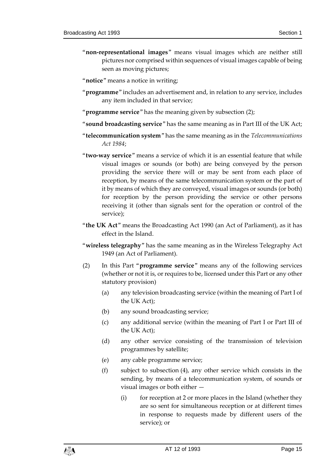- "**non-representational images**" means visual images which are neither still pictures nor comprised within sequences of visual images capable of being seen as moving pictures;
- "**notice**" means a notice in writing;
- "**programme**" includes an advertisement and, in relation to any service, includes any item included in that service;
- "**programme service**" has the meaning given by subsection (2);
- "**sound broadcasting service**" has the same meaning as in Part III of the UK Act;
- "**telecommunication system**" has the same meaning as in the *Telecommunications Act 1984*;
- "**two-way service**" means a service of which it is an essential feature that while visual images or sounds (or both) are being conveyed by the person providing the service there will or may be sent from each place of reception, by means of the same telecommunication system or the part of it by means of which they are conveyed, visual images or sounds (or both) for reception by the person providing the service or other persons receiving it (other than signals sent for the operation or control of the service);
- "**the UK Act**" means the Broadcasting Act 1990 (an Act of Parliament), as it has effect in the Island.
- "**wireless telegraphy**" has the same meaning as in the Wireless Telegraphy Act 1949 (an Act of Parliament).
- (2) In this Part "**programme service**" means any of the following services (whether or not it is, or requires to be, licensed under this Part or any other statutory provision)
	- (a) any television broadcasting service (within the meaning of Part I of the UK Act);
	- (b) any sound broadcasting service;
	- (c) any additional service (within the meaning of Part I or Part III of the UK Act);
	- (d) any other service consisting of the transmission of television programmes by satellite;
	- (e) any cable programme service;
	- (f) subject to subsection (4), any other service which consists in the sending, by means of a telecommunication system, of sounds or visual images or both either —
		- (i) for reception at 2 or more places in the Island (whether they are so sent for simultaneous reception or at different times in response to requests made by different users of the service); or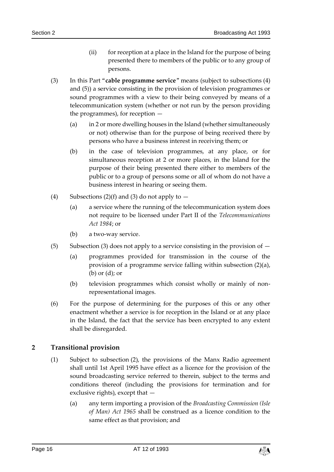- (ii) for reception at a place in the Island for the purpose of being presented there to members of the public or to any group of persons.
- (3) In this Part "**cable programme service**" means (subject to subsections (4) and (5)) a service consisting in the provision of television programmes or sound programmes with a view to their being conveyed by means of a telecommunication system (whether or not run by the person providing the programmes), for reception —
	- (a) in 2 or more dwelling houses in the Island (whether simultaneously or not) otherwise than for the purpose of being received there by persons who have a business interest in receiving them; or
	- (b) in the case of television programmes, at any place, or for simultaneous reception at 2 or more places, in the Island for the purpose of their being presented there either to members of the public or to a group of persons some or all of whom do not have a business interest in hearing or seeing them.
- (4) Subsections (2)(f) and (3) do not apply to  $-$ 
	- (a) a service where the running of the telecommunication system does not require to be licensed under Part II of the *Telecommunications Act 1984*; or
	- (b) a two-way service.
- (5) Subsection (3) does not apply to a service consisting in the provision of  $-$ 
	- (a) programmes provided for transmission in the course of the provision of a programme service falling within subsection (2)(a), (b) or (d); or
	- (b) television programmes which consist wholly or mainly of nonrepresentational images.
- (6) For the purpose of determining for the purposes of this or any other enactment whether a service is for reception in the Island or at any place in the Island, the fact that the service has been encrypted to any extent shall be disregarded.

# <span id="page-15-0"></span>**2 Transitional provision**

- (1) Subject to subsection (2), the provisions of the Manx Radio agreement shall until 1st April 1995 have effect as a licence for the provision of the sound broadcasting service referred to therein, subject to the terms and conditions thereof (including the provisions for termination and for exclusive rights), except that —
	- (a) any term importing a provision of the *Broadcasting Commission (Isle of Man) Act 1965* shall be construed as a licence condition to the same effect as that provision; and

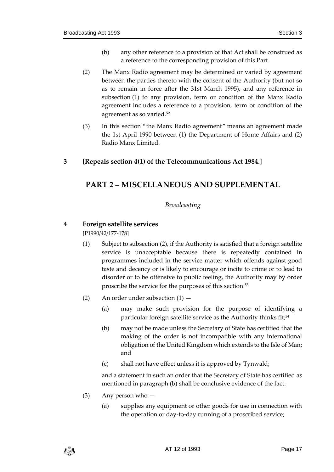- (b) any other reference to a provision of that Act shall be construed as a reference to the corresponding provision of this Part.
- (2) The Manx Radio agreement may be determined or varied by agreement between the parties thereto with the consent of the Authority (but not so as to remain in force after the 31st March 1995), and any reference in subsection (1) to any provision, term or condition of the Manx Radio agreement includes a reference to a provision, term or condition of the agreement as so varied.**<sup>52</sup>**
- (3) In this section "the Manx Radio agreement" means an agreement made the 1st April 1990 between (1) the Department of Home Affairs and (2) Radio Manx Limited.

# <span id="page-16-1"></span><span id="page-16-0"></span>**3 [Repeals section 4(1) of the Telecommunications Act 1984.]**

# <span id="page-16-2"></span>**PART 2 – MISCELLANEOUS AND SUPPLEMENTAL**

# *Broadcasting*

# <span id="page-16-3"></span>**4 Foreign satellite services**

[P1990/42/177-178]

- (1) Subject to subsection (2), if the Authority is satisfied that a foreign satellite service is unacceptable because there is repeatedly contained in programmes included in the service matter which offends against good taste and decency or is likely to encourage or incite to crime or to lead to disorder or to be offensive to public feeling, the Authority may by order proscribe the service for the purposes of this section.**<sup>53</sup>**
- (2) An order under subsection  $(1)$ 
	- (a) may make such provision for the purpose of identifying a particular foreign satellite service as the Authority thinks fit;**<sup>54</sup>**
	- (b) may not be made unless the Secretary of State has certified that the making of the order is not incompatible with any international obligation of the United Kingdom which extends to the Isle of Man; and
	- (c) shall not have effect unless it is approved by Tynwald;

and a statement in such an order that the Secretary of State has certified as mentioned in paragraph (b) shall be conclusive evidence of the fact.

- (3) Any person who
	- (a) supplies any equipment or other goods for use in connection with the operation or day-to-day running of a proscribed service;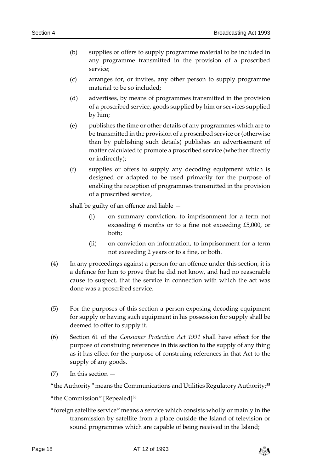- (b) supplies or offers to supply programme material to be included in any programme transmitted in the provision of a proscribed service;
- (c) arranges for, or invites, any other person to supply programme material to be so included;
- (d) advertises, by means of programmes transmitted in the provision of a proscribed service, goods supplied by him or services supplied by him;
- (e) publishes the time or other details of any programmes which are to be transmitted in the provision of a proscribed service or (otherwise than by publishing such details) publishes an advertisement of matter calculated to promote a proscribed service (whether directly or indirectly);
- (f) supplies or offers to supply any decoding equipment which is designed or adapted to be used primarily for the purpose of enabling the reception of programmes transmitted in the provision of a proscribed service,

shall be guilty of an offence and liable —

- (i) on summary conviction, to imprisonment for a term not exceeding 6 months or to a fine not exceeding £5,000, or both;
- (ii) on conviction on information, to imprisonment for a term not exceeding 2 years or to a fine, or both.
- (4) In any proceedings against a person for an offence under this section, it is a defence for him to prove that he did not know, and had no reasonable cause to suspect, that the service in connection with which the act was done was a proscribed service.
- (5) For the purposes of this section a person exposing decoding equipment for supply or having such equipment in his possession for supply shall be deemed to offer to supply it.
- (6) Section 61 of the *Consumer Protection Act 1991* shall have effect for the purpose of construing references in this section to the supply of any thing as it has effect for the purpose of construing references in that Act to the supply of any goods.
- $(7)$  In this section  $-$

"the Authority" means the Communications and Utilities Regulatory Authority;**<sup>55</sup>**

"the Commission" [Repealed]**<sup>56</sup>**

"foreign satellite service" means a service which consists wholly or mainly in the transmission by satellite from a place outside the Island of television or sound programmes which are capable of being received in the Island;

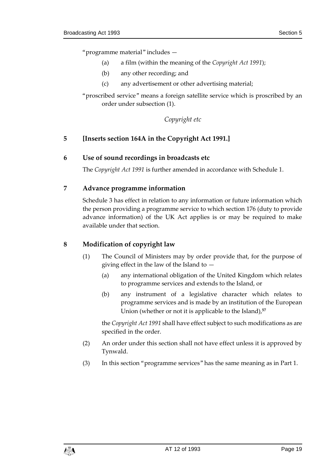"programme material" includes —

- (a) a film (within the meaning of the *Copyright Act 1991*);
- (b) any other recording; and
- (c) any advertisement or other advertising material;

"proscribed service" means a foreign satellite service which is proscribed by an order under subsection (1).

*Copyright etc*

#### <span id="page-18-0"></span>**5 [Inserts section 164A in the Copyright Act 1991.]**

#### <span id="page-18-1"></span>**6 Use of sound recordings in broadcasts etc**

The *Copyright Act 1991* is further amended in accordance with Schedule 1.

#### <span id="page-18-2"></span>**7 Advance programme information**

Schedule 3 has effect in relation to any information or future information which the person providing a programme service to which section 176 (duty to provide advance information) of the UK Act applies is or may be required to make available under that section.

#### <span id="page-18-3"></span>**8 Modification of copyright law**

- (1) The Council of Ministers may by order provide that, for the purpose of giving effect in the law of the Island to —
	- (a) any international obligation of the United Kingdom which relates to programme services and extends to the Island, or
	- (b) any instrument of a legislative character which relates to programme services and is made by an institution of the European Union (whether or not it is applicable to the Island),**<sup>57</sup>**

the *Copyright Act 1991* shall have effect subject to such modifications as are specified in the order.

- (2) An order under this section shall not have effect unless it is approved by Tynwald.
- (3) In this section "programme services" has the same meaning as in Part 1.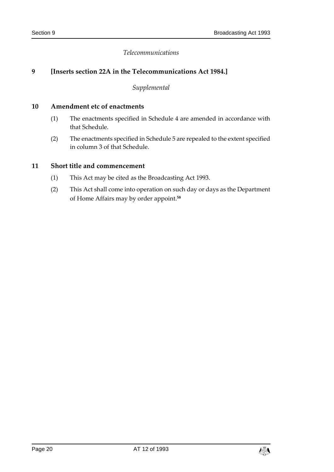#### *Telecommunications*

#### <span id="page-19-0"></span>**9 [Inserts section 22A in the Telecommunications Act 1984.]**

*Supplemental*

#### <span id="page-19-1"></span>**10 Amendment etc of enactments**

- (1) The enactments specified in Schedule 4 are amended in accordance with that Schedule.
- (2) The enactments specified in Schedule 5 are repealed to the extent specified in column 3 of that Schedule.

#### <span id="page-19-2"></span>**11 Short title and commencement**

- (1) This Act may be cited as the Broadcasting Act 1993.
- (2) This Act shall come into operation on such day or days as the Department of Home Affairs may by order appoint.**58**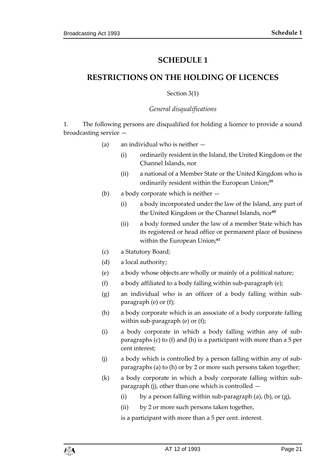# **SCHEDULE 1**

# <span id="page-20-1"></span><span id="page-20-0"></span>**RESTRICTIONS ON THE HOLDING OF LICENCES**

#### Section 3(1)

#### *General disqualifications*

1. The following persons are disqualified for holding a licence to provide a sound broadcasting service —

- (a) an individual who is neither
	- (i) ordinarily resident in the Island, the United Kingdom or the Channel Islands, nor
	- (ii) a national of a Member State or the United Kingdom who is ordinarily resident within the European Union; **59**
- (b) a body corporate which is neither
	- (i) a body incorporated under the law of the Island, any part of the United Kingdom or the Channel Islands, nor<sup>60</sup>
	- (ii) a body formed under the law of a member State which has its registered or head office or permanent place of business within the European Union; **61**
- (c) a Statutory Board;
- (d) a local authority;
- (e) a body whose objects are wholly or mainly of a political nature;
- (f) a body affiliated to a body falling within sub-paragraph (e);
- (g) an individual who is an officer of a body falling within subparagraph (e) or (f);
- (h) a body corporate which is an associate of a body corporate falling within sub-paragraph (e) or (f);
- (i) a body corporate in which a body falling within any of subparagraphs (c) to (f) and (h) is a participant with more than a 5 per cent interest;
- (j) a body which is controlled by a person falling within any of subparagraphs (a) to (h) or by 2 or more such persons taken together;
- (k) a body corporate in which a body corporate falling within subparagraph (j), other than one which is controlled —
	- (i) by a person falling within sub-paragraph (a), (b), or  $(g)$ ,
	- (ii) by 2 or more such persons taken together,

is a participant with more than a 5 per cent. interest.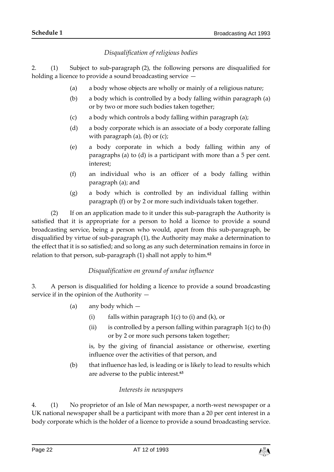# *Disqualification of religious bodies*

2. (1) Subject to sub-paragraph (2), the following persons are disqualified for holding a licence to provide a sound broadcasting service  $-$ 

- (a) a body whose objects are wholly or mainly of a religious nature;
- (b) a body which is controlled by a body falling within paragraph (a) or by two or more such bodies taken together;
- (c) a body which controls a body falling within paragraph (a);
- (d) a body corporate which is an associate of a body corporate falling with paragraph (a), (b) or (c);
- (e) a body corporate in which a body falling within any of paragraphs (a) to (d) is a participant with more than a 5 per cent. interest;
- (f) an individual who is an officer of a body falling within paragraph (a); and
- (g) a body which is controlled by an individual falling within paragraph (f) or by 2 or more such individuals taken together.

(2) If on an application made to it under this sub-paragraph the Authority is satisfied that it is appropriate for a person to hold a licence to provide a sound broadcasting service, being a person who would, apart from this sub-paragraph, be disqualified by virtue of sub-paragraph (1), the Authority may make a determination to the effect that it is so satisfied; and so long as any such determination remains in force in relation to that person, sub-paragraph (1) shall not apply to him.**<sup>62</sup>**

# *Disqualification on ground of undue influence*

3. A person is disqualified for holding a licence to provide a sound broadcasting service if in the opinion of the Authority —

- (a) any body which
	- (i) falls within paragraph  $1(c)$  to (i) and (k), or
	- (ii) is controlled by a person falling within paragraph  $1(c)$  to  $(h)$ or by 2 or more such persons taken together;

is, by the giving of financial assistance or otherwise, exerting influence over the activities of that person, and

(b) that influence has led, is leading or is likely to lead to results which are adverse to the public interest.**<sup>63</sup>**

#### *Interests in newspapers*

4. (1) No proprietor of an Isle of Man newspaper, a north-west newspaper or a UK national newspaper shall be a participant with more than a 20 per cent interest in a body corporate which is the holder of a licence to provide a sound broadcasting service.

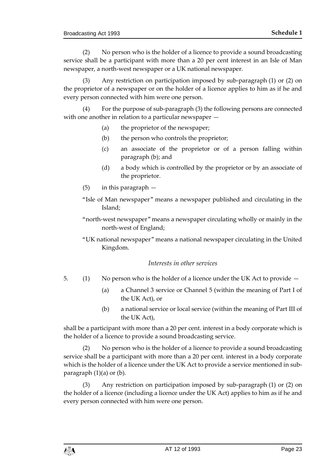(2) No person who is the holder of a licence to provide a sound broadcasting service shall be a participant with more than a 20 per cent interest in an Isle of Man newspaper, a north-west newspaper or a UK national newspaper.

(3) Any restriction on participation imposed by sub-paragraph (1) or (2) on the proprietor of a newspaper or on the holder of a licence applies to him as if he and every person connected with him were one person.

(4) For the purpose of sub-paragraph (3) the following persons are connected with one another in relation to a particular newspaper —

- (a) the proprietor of the newspaper;
- (b) the person who controls the proprietor;
- (c) an associate of the proprietor or of a person falling within paragraph (b); and
- (d) a body which is controlled by the proprietor or by an associate of the proprietor.
- (5) in this paragraph —
- "Isle of Man newspaper" means a newspaper published and circulating in the Island;
- "north-west newspaper" means a newspaper circulating wholly or mainly in the north-west of England;
- "UK national newspaper" means a national newspaper circulating in the United Kingdom.

#### *Interests in other services*

- 5. (1) No person who is the holder of a licence under the UK Act to provide
	- (a) a Channel 3 service or Channel 5 (within the meaning of Part I of the UK Act), or
	- (b) a national service or local service (within the meaning of Part III of the UK Act),

shall be a participant with more than a 20 per cent. interest in a body corporate which is the holder of a licence to provide a sound broadcasting service.

(2) No person who is the holder of a licence to provide a sound broadcasting service shall be a participant with more than a 20 per cent. interest in a body corporate which is the holder of a licence under the UK Act to provide a service mentioned in subparagraph  $(1)(a)$  or  $(b)$ .

(3) Any restriction on participation imposed by sub-paragraph (1) or (2) on the holder of a licence (including a licence under the UK Act) applies to him as if he and every person connected with him were one person.

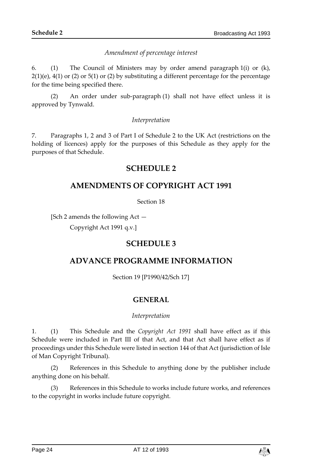# *Amendment of percentage interest*

6. (1) The Council of Ministers may by order amend paragraph 1(i) or (k),  $2(1)(e)$ ,  $4(1)$  or  $(2)$  or  $5(1)$  or  $(2)$  by substituting a different percentage for the percentage for the time being specified there.

(2) An order under sub-paragraph (1) shall not have effect unless it is approved by Tynwald.

#### *Interpretation*

<span id="page-23-0"></span>7. Paragraphs 1, 2 and 3 of Part I of Schedule 2 to the UK Act (restrictions on the holding of licences) apply for the purposes of this Schedule as they apply for the purposes of that Schedule.

# **SCHEDULE 2**

# <span id="page-23-1"></span>**AMENDMENTS OF COPYRIGHT ACT 1991**

Section 18

<span id="page-23-2"></span>[Sch 2 amends the following Act —

Copyright Act 1991 q.v.]

# **SCHEDULE 3**

# <span id="page-23-3"></span>**ADVANCE PROGRAMME INFORMATION**

Section 19 [P1990/42/Sch 17]

# **GENERAL**

#### *Interpretation*

1. (1) This Schedule and the *Copyright Act 1991* shall have effect as if this Schedule were included in Part III of that Act, and that Act shall have effect as if proceedings under this Schedule were listed in section 144 of that Act (jurisdiction of Isle of Man Copyright Tribunal).

(2) References in this Schedule to anything done by the publisher include anything done on his behalf.

(3) References in this Schedule to works include future works, and references to the copyright in works include future copyright.

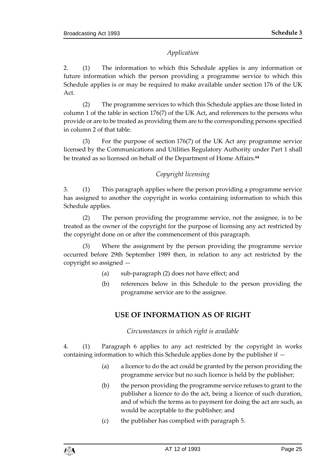### *Application*

2. (1) The information to which this Schedule applies is any information or future information which the person providing a programme service to which this Schedule applies is or may be required to make available under section 176 of the UK Act.

(2) The programme services to which this Schedule applies are those listed in column 1 of the table in section 176(7) of the UK Act, and references to the persons who provide or are to be treated as providing them are to the corresponding persons specified in column 2 of that table.

(3) For the purpose of section 176(7) of the UK Act any programme service licensed by the Communications and Utilities Regulatory Authority under Part 1 shall be treated as so licensed on behalf of the Department of Home Affairs.**<sup>64</sup>**

# *Copyright licensing*

3. (1) This paragraph applies where the person providing a programme service has assigned to another the copyright in works containing information to which this Schedule applies.

(2) The person providing the programme service, not the assignee, is to be treated as the owner of the copyright for the purpose of licensing any act restricted by the copyright done on or after the commencement of this paragraph.

(3) Where the assignment by the person providing the programme service occurred before 29th September 1989 then, in relation to any act restricted by the copyright so assigned —

- (a) sub-paragraph (2) does not have effect; and
- (b) references below in this Schedule to the person providing the programme service are to the assignee.

# **USE OF INFORMATION AS OF RIGHT**

*Circumstances in which right is available*

4. (1) Paragraph 6 applies to any act restricted by the copyright in works containing information to which this Schedule applies done by the publisher if —

- (a) a licence to do the act could be granted by the person providing the programme service but no such licence is held by the publisher;
- (b) the person providing the programme service refuses to grant to the publisher a licence to do the act, being a licence of such duration, and of which the terms as to payment for doing the act are such, as would be acceptable to the publisher; and
- (c) the publisher has complied with paragraph 5.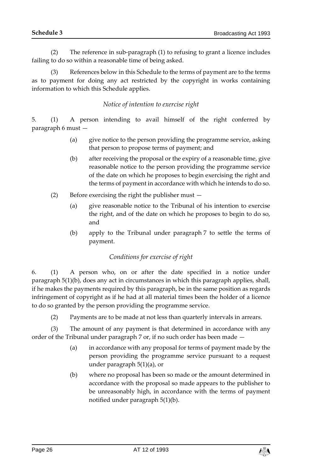(2) The reference in sub-paragraph (1) to refusing to grant a licence includes failing to do so within a reasonable time of being asked.

(3) References below in this Schedule to the terms of payment are to the terms as to payment for doing any act restricted by the copyright in works containing information to which this Schedule applies.

# *Notice of intention to exercise right*

5. (1) A person intending to avail himself of the right conferred by paragraph 6 must —

- (a) give notice to the person providing the programme service, asking that person to propose terms of payment; and
- (b) after receiving the proposal or the expiry of a reasonable time, give reasonable notice to the person providing the programme service of the date on which he proposes to begin exercising the right and the terms of payment in accordance with which he intends to do so.
- (2) Before exercising the right the publisher must
	- (a) give reasonable notice to the Tribunal of his intention to exercise the right, and of the date on which he proposes to begin to do so, and
	- (b) apply to the Tribunal under paragraph 7 to settle the terms of payment.

# *Conditions for exercise of right*

6. (1) A person who, on or after the date specified in a notice under paragraph 5(1)(b), does any act in circumstances in which this paragraph applies, shall, if he makes the payments required by this paragraph, be in the same position as regards infringement of copyright as if he had at all material times been the holder of a licence to do so granted by the person providing the programme service.

(2) Payments are to be made at not less than quarterly intervals in arrears.

(3) The amount of any payment is that determined in accordance with any order of the Tribunal under paragraph 7 or, if no such order has been made —

- (a) in accordance with any proposal for terms of payment made by the person providing the programme service pursuant to a request under paragraph 5(1)(a), or
- (b) where no proposal has been so made or the amount determined in accordance with the proposal so made appears to the publisher to be unreasonably high, in accordance with the terms of payment notified under paragraph 5(1)(b).

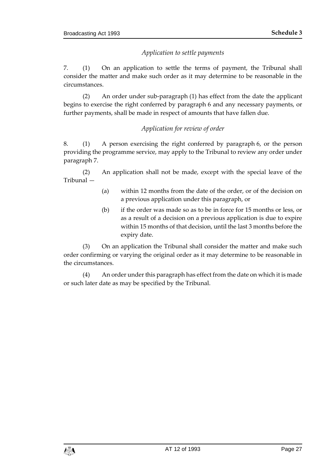# *Application to settle payments*

7. (1) On an application to settle the terms of payment, the Tribunal shall consider the matter and make such order as it may determine to be reasonable in the circumstances.

(2) An order under sub-paragraph (1) has effect from the date the applicant begins to exercise the right conferred by paragraph 6 and any necessary payments, or further payments, shall be made in respect of amounts that have fallen due.

#### *Application for review of order*

8. (1) A person exercising the right conferred by paragraph 6, or the person providing the programme service, may apply to the Tribunal to review any order under paragraph 7.

(2) An application shall not be made, except with the special leave of the Tribunal —

- (a) within 12 months from the date of the order, or of the decision on a previous application under this paragraph, or
- (b) if the order was made so as to be in force for 15 months or less, or as a result of a decision on a previous application is due to expire within 15 months of that decision, until the last 3 months before the expiry date.

(3) On an application the Tribunal shall consider the matter and make such order confirming or varying the original order as it may determine to be reasonable in the circumstances.

(4) An order under this paragraph has effect from the date on which it is made or such later date as may be specified by the Tribunal.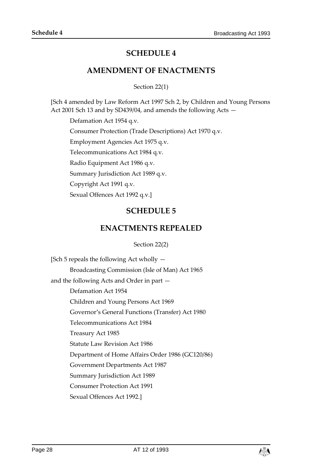# **SCHEDULE 4**

# **AMENDMENT OF ENACTMENTS**

Section 22(1)

<span id="page-27-1"></span><span id="page-27-0"></span>[Sch 4 amended by Law Reform Act 1997 Sch 2, by Children and Young Persons Act 2001 Sch 13 and by SD439/04, and amends the following Acts —

Defamation Act 1954 q.v.

Consumer Protection (Trade Descriptions) Act 1970 q.v.

Employment Agencies Act 1975 q.v.

Telecommunications Act 1984 q.v.

Radio Equipment Act 1986 q.v.

Summary Jurisdiction Act 1989 q.v.

Copyright Act 1991 q.v.

<span id="page-27-2"></span>Sexual Offences Act 1992 q.v.]

# **SCHEDULE 5**

# **ENACTMENTS REPEALED**

#### Section 22(2)

<span id="page-27-3"></span>[Sch 5 repeals the following Act wholly — Broadcasting Commission (Isle of Man) Act 1965 and the following Acts and Order in part — Defamation Act 1954 Children and Young Persons Act 1969 Governor's General Functions (Transfer) Act 1980 Telecommunications Act 1984 Treasury Act 1985 Statute Law Revision Act 1986 Department of Home Affairs Order 1986 (GC120/86) Government Departments Act 1987 Summary Jurisdiction Act 1989 Consumer Protection Act 1991 Sexual Offences Act 1992.]

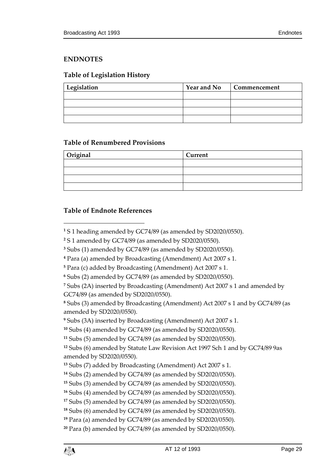# <span id="page-28-0"></span>**ENDNOTES**

# <span id="page-28-1"></span>**Table of Legislation History**

| Legislation | <b>Year and No</b> | Commencement |
|-------------|--------------------|--------------|
|             |                    |              |
|             |                    |              |
|             |                    |              |
|             |                    |              |

#### <span id="page-28-2"></span>**Table of Renumbered Provisions**

| Original | Current |
|----------|---------|
|          |         |
|          |         |
|          |         |
|          |         |

# <span id="page-28-3"></span>**Table of Endnote References**

 $\overline{a}$ 

 Subs (2A) inserted by Broadcasting (Amendment) Act 2007 s 1 and amended by GC74/89 (as amended by SD2020/0550).

 Subs (3) amended by Broadcasting (Amendment) Act 2007 s 1 and by GC74/89 (as amended by SD2020/0550).

Subs (3A) inserted by Broadcasting (Amendment) Act 2007 s 1.

```
10 Subs (4) amended by GC74/89 (as amended by SD2020/0550).
```
Subs (5) amended by GC74/89 (as amended by SD2020/0550).

 Subs (6) amended by Statute Law Revision Act 1997 Sch 1 and by GC74/89 9as amended by SD2020/0550).

```
14 Subs (2) amended by GC74/89 (as amended by SD2020/0550).
```

```
15 Subs (3) amended by GC74/89 (as amended by SD2020/0550).
```

```
16 Subs (4) amended by GC74/89 (as amended by SD2020/0550).
```

```
17 Subs (5) amended by GC74/89 (as amended by SD2020/0550).
```

```
18 Subs (6) amended by GC74/89 (as amended by SD2020/0550).
```

```
19 Para (a) amended by GC74/89 (as amended by SD2020/0550).
```

```
20 Para (b) amended by GC74/89 (as amended by SD2020/0550).
```
S 1 heading amended by GC74/89 (as amended by SD2020/0550).

S 1 amended by GC74/89 (as amended by SD2020/0550).

Subs (1) amended by GC74/89 (as amended by SD2020/0550).

Para (a) amended by Broadcasting (Amendment) Act 2007 s 1.

Para (c) added by Broadcasting (Amendment) Act 2007 s 1.

Subs (2) amended by GC74/89 (as amended by SD2020/0550).

Subs (7) added by Broadcasting (Amendment) Act 2007 s 1.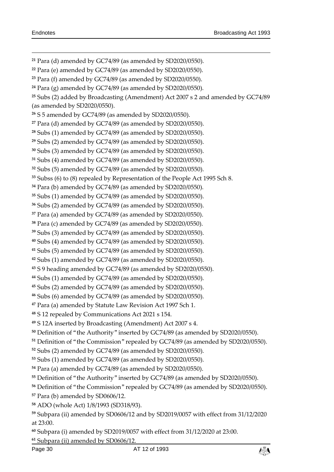Page 30  $\overline{\text{AT}}$  12 of 1993 - Para (d) amended by GC74/89 (as amended by SD2020/0550). Para (e) amended by GC74/89 (as amended by SD2020/0550). Para (f) amended by GC74/89 (as amended by SD2020/0550). Para (g) amended by GC74/89 (as amended by SD2020/0550). Subs (2) added by Broadcasting (Amendment) Act 2007 s 2 and amended by GC74/89 (as amended by SD2020/0550). S 5 amended by GC74/89 (as amended by SD2020/0550). Para (d) amended by GC74/89 (as amended by SD2020/0550). Subs (1) amended by GC74/89 (as amended by SD2020/0550). Subs (2) amended by GC74/89 (as amended by SD2020/0550). Subs (3) amended by GC74/89 (as amended by SD2020/0550). Subs (4) amended by GC74/89 (as amended by SD2020/0550). Subs (5) amended by GC74/89 (as amended by SD2020/0550). Subss (6) to (8) repealed by Representation of the People Act 1995 Sch 8. Para (b) amended by GC74/89 (as amended by SD2020/0550). Subs (1) amended by GC74/89 (as amended by SD2020/0550). Subs (2) amended by GC74/89 (as amended by SD2020/0550). Para (a) amended by GC74/89 (as amended by SD2020/0550). Para (c) amended by GC74/89 (as amended by SD2020/0550). Subs (3) amended by GC74/89 (as amended by SD2020/0550). Subs (4) amended by GC74/89 (as amended by SD2020/0550). Subs (5) amended by GC74/89 (as amended by SD2020/0550). Subs (1) amended by GC74/89 (as amended by SD2020/0550). S 9 heading amended by GC74/89 (as amended by SD2020/0550). Subs (1) amended by GC74/89 (as amended by SD2020/0550). Subs (2) amended by GC74/89 (as amended by SD2020/0550). Subs (6) amended by GC74/89 (as amended by SD2020/0550). Para (a) amended by Statute Law Revision Act 1997 Sch 1. S 12 repealed by Communications Act 2021 s 154. S 12A inserted by Broadcasting (Amendment) Act 2007 s 4. Definition of "the Authority" inserted by GC74/89 (as amended by SD2020/0550). Definition of "the Commission" repealed by GC74/89 (as amended by SD2020/0550). Subs (2) amended by GC74/89 (as amended by SD2020/0550). Subs (1) amended by GC74/89 (as amended by SD2020/0550). Para (a) amended by GC74/89 (as amended by SD2020/0550). Definition of "the Authority" inserted by GC74/89 (as amended by SD2020/0550). Definition of "the Commission" repealed by GC74/89 (as amended by SD2020/0550). Para (b) amended by SD0606/12. ADO (whole Act) 1/8/1993 (SD318/93). Subpara (ii) amended by SD0606/12 and by SD2019/0057 with effect from 31/12/2020 at 23:00. Subpara (i) amended by SD2019/0057 with effect from 31/12/2020 at 23:00. Subpara (ii) amended by SD0606/12.